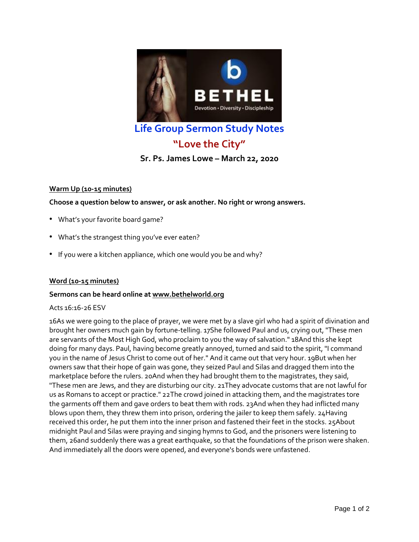

## **Life Group Sermon Study Notes**

# **"Love the City"**

## **Sr. Ps. James Lowe – March 22, 2020**

## **Warm Up (10-15 minutes)**

**Choose a question below to answer, or ask another. No right or wrong answers.**

- What's your favorite board game?
- What's the strangest thing you've ever eaten?
- If you were a kitchen appliance, which one would you be and why?

## **Word (10-15 minutes)**

## **Sermons can be heard online at [www.bethelworld.org](http://www.bethelworld.org/)**

#### Acts 16:16-26 ESV

16As we were going to the place of prayer, we were met by a slave girl who had a spirit of divination and brought her owners much gain by fortune-telling. 17She followed Paul and us, crying out, "These men are servants of the Most High God, who proclaim to you the way of salvation." 18And this she kept doing for many days. Paul, having become greatly annoyed, turned and said to the spirit, "I command you in the name of Jesus Christ to come out of her." And it came out that very hour. 19But when her owners saw that their hope of gain was gone, they seized Paul and Silas and dragged them into the marketplace before the rulers. 20And when they had brought them to the magistrates, they said, "These men are Jews, and they are disturbing our city. 21They advocate customs that are not lawful for us as Romans to accept or practice." 22The crowd joined in attacking them, and the magistrates tore the garments off them and gave orders to beat them with rods. 23And when they had inflicted many blows upon them, they threw them into prison, ordering the jailer to keep them safely. 24Having received this order, he put them into the inner prison and fastened their feet in the stocks. 25About midnight Paul and Silas were praying and singing hymns to God, and the prisoners were listening to them, 26and suddenly there was a great earthquake, so that the foundations of the prison were shaken. And immediately all the doors were opened, and everyone's bonds were unfastened.